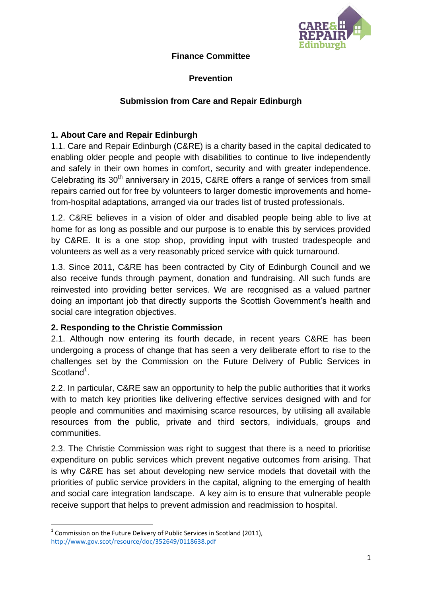

## **Finance Committee**

# **Prevention**

# **Submission from Care and Repair Edinburgh**

## **1. About Care and Repair Edinburgh**

1.1. Care and Repair Edinburgh (C&RE) is a charity based in the capital dedicated to enabling older people and people with disabilities to continue to live independently and safely in their own homes in comfort, security and with greater independence. Celebrating its  $30<sup>th</sup>$  anniversary in 2015, C&RE offers a range of services from small repairs carried out for free by volunteers to larger domestic improvements and homefrom-hospital adaptations, arranged via our trades list of trusted professionals.

1.2. C&RE believes in a vision of older and disabled people being able to live at home for as long as possible and our purpose is to enable this by services provided by C&RE. It is a one stop shop, providing input with trusted tradespeople and volunteers as well as a very reasonably priced service with quick turnaround.

1.3. Since 2011, C&RE has been contracted by City of Edinburgh Council and we also receive funds through payment, donation and fundraising. All such funds are reinvested into providing better services. We are recognised as a valued partner doing an important job that directly supports the Scottish Government's health and social care integration objectives.

### **2. Responding to the Christie Commission**

2.1. Although now entering its fourth decade, in recent years C&RE has been undergoing a process of change that has seen a very deliberate effort to rise to the challenges set by the Commission on the Future Delivery of Public Services in Scotland<sup>1</sup>.

2.2. In particular, C&RE saw an opportunity to help the public authorities that it works with to match key priorities like delivering effective services designed with and for people and communities and maximising scarce resources, by utilising all available resources from the public, private and third sectors, individuals, groups and communities.

2.3. The Christie Commission was right to suggest that there is a need to prioritise expenditure on public services which prevent negative outcomes from arising. That is why C&RE has set about developing new service models that dovetail with the priorities of public service providers in the capital, aligning to the emerging of health and social care integration landscape. A key aim is to ensure that vulnerable people receive support that helps to prevent admission and readmission to hospital.

**<sup>.</sup>**  $1$  Commission on the Future Delivery of Public Services in Scotland (2011), <http://www.gov.scot/resource/doc/352649/0118638.pdf>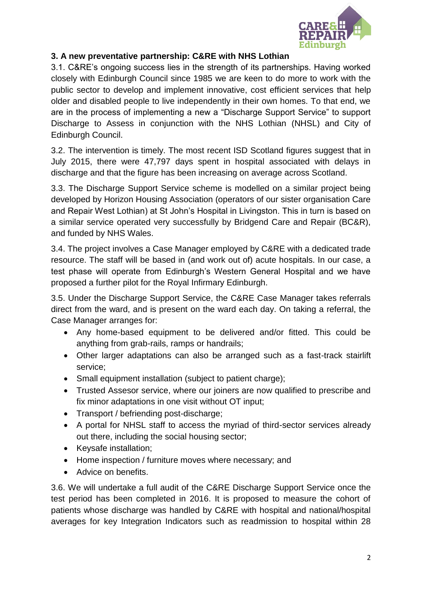

# **3. A new preventative partnership: C&RE with NHS Lothian**

3.1. C&RE's ongoing success lies in the strength of its partnerships. Having worked closely with Edinburgh Council since 1985 we are keen to do more to work with the public sector to develop and implement innovative, cost efficient services that help older and disabled people to live independently in their own homes. To that end, we are in the process of implementing a new a "Discharge Support Service" to support Discharge to Assess in conjunction with the NHS Lothian (NHSL) and City of Edinburgh Council.

3.2. The intervention is timely. The most recent ISD Scotland figures suggest that in July 2015, there were 47,797 days spent in hospital associated with delays in discharge and that the figure has been increasing on average across Scotland.

3.3. The Discharge Support Service scheme is modelled on a similar project being developed by Horizon Housing Association (operators of our sister organisation Care and Repair West Lothian) at St John's Hospital in Livingston. This in turn is based on a similar service operated very successfully by Bridgend Care and Repair (BC&R), and funded by NHS Wales.

3.4. The project involves a Case Manager employed by C&RE with a dedicated trade resource. The staff will be based in (and work out of) acute hospitals. In our case, a test phase will operate from Edinburgh's Western General Hospital and we have proposed a further pilot for the Royal Infirmary Edinburgh.

3.5. Under the Discharge Support Service, the C&RE Case Manager takes referrals direct from the ward, and is present on the ward each day. On taking a referral, the Case Manager arranges for:

- Any home-based equipment to be delivered and/or fitted. This could be anything from grab-rails, ramps or handrails;
- Other larger adaptations can also be arranged such as a fast-track stairlift service;
- Small equipment installation (subject to patient charge);
- Trusted Assesor service, where our joiners are now qualified to prescribe and fix minor adaptations in one visit without OT input;
- Transport / befriending post-discharge;
- A portal for NHSL staff to access the myriad of third-sector services already out there, including the social housing sector;
- Keysafe installation;
- Home inspection / furniture moves where necessary; and
- Advice on benefits

3.6. We will undertake a full audit of the C&RE Discharge Support Service once the test period has been completed in 2016. It is proposed to measure the cohort of patients whose discharge was handled by C&RE with hospital and national/hospital averages for key Integration Indicators such as readmission to hospital within 28